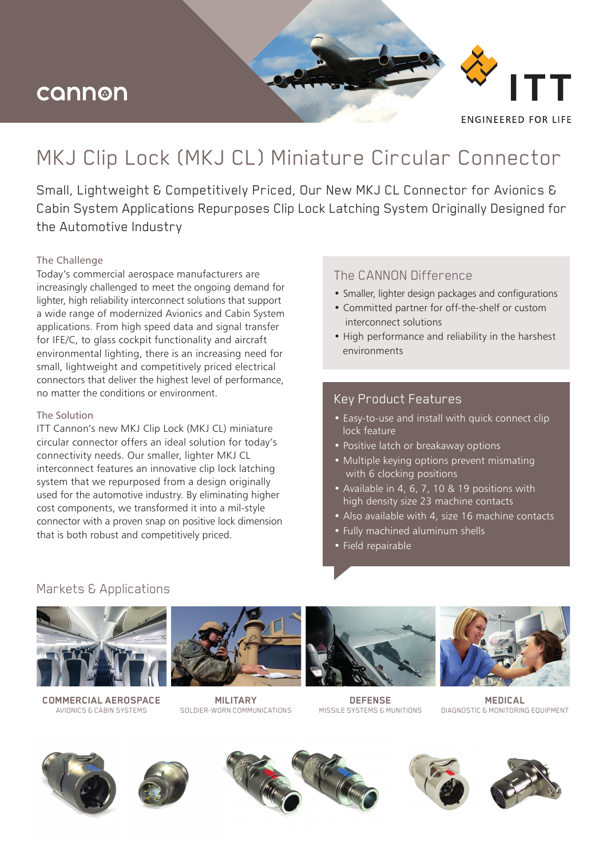## cannon



# MKJ Clip Lock (MKJ CL) Miniature Circular Connector

Small, Lightweight & Competitively Priced, Our New MKJ CL Connector for Avionics & Cabin System Applications Repurposes Clip Lock Latching System Originally Designed for the Automotive Industry

#### The Challenge

Today's commercial aerospace manufacturers are increasingly challenged to meet the ongoing demand for lighter, high reliability interconnect solutions that support a wide range of modernized Avionics and Cabin System applications. From high speed data and signal transfer for IFE/C, to glass cockpit functionality and aircraft environmental lighting, there is an increasing need for small, lightweight and competitively priced electrical connectors that deliver the highest level of performance, no matter the conditions or environment.

#### The Solution

ITT Cannon's new MKJ Clip Lock (MKJ CL) miniature circular connector offers an ideal solution for today's connectivity needs. Our smaller, lighter MKJ CL interconnect features an innovative clip lock latching system that we repurposed from a design originally used for the automotive industry. By eliminating higher cost components, we transformed it into a mil-style connector with a proven snap on positive lock dimension that is both robust and competitively priced.

#### The CANNON Difference

- Smaller, lighter design packages and configurations
- Committed partner for off-the-shelf or custom interconnect solutions
- High performance and reliability in the harshest environments

#### Key Product Features

- Easy-to-use and install with quick connect clip lock feature
- Positive latch or breakaway options
- Multiple keying options prevent mismating with 6 clocking positions
- Available in 4, 6, 7, 10 & 19 positions with high density size 23 machine contacts
- Also available with 4, size 16 machine contacts
- Fully machined aluminum shells
- Field repairable

### Markets & Applications



**COMMERCIAL AEROSPACE** AVIONICS & CABIN SYSTEMS



**MILITARY** SOLDIER-WORN COMMUNICATIONS



**DEFENSE** MISSILE SYSTEMS & MUNITIONS



**MEDICAL** DIAGNOSTIC & MONITORING EQUIPMENT